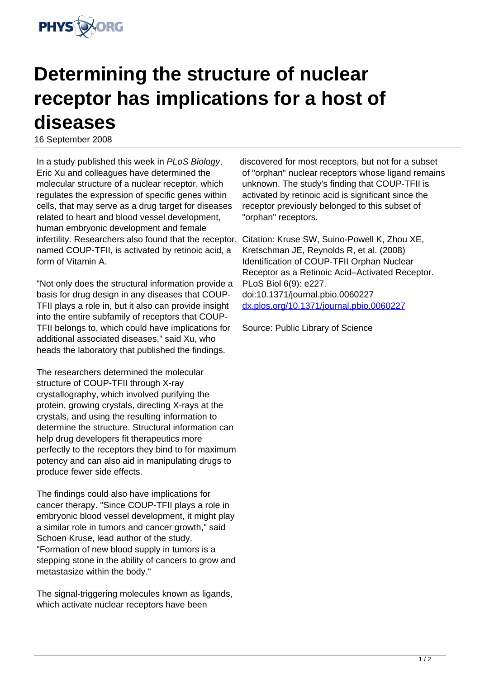

## **Determining the structure of nuclear receptor has implications for a host of diseases**

16 September 2008

In a study published this week in PLoS Biology, Eric Xu and colleagues have determined the molecular structure of a nuclear receptor, which regulates the expression of specific genes within cells, that may serve as a drug target for diseases related to heart and blood vessel development, human embryonic development and female infertility. Researchers also found that the receptor, named COUP-TFII, is activated by retinoic acid, a form of Vitamin A.

"Not only does the structural information provide a basis for drug design in any diseases that COUP-TFII plays a role in, but it also can provide insight into the entire subfamily of receptors that COUP-TFII belongs to, which could have implications for additional associated diseases," said Xu, who heads the laboratory that published the findings.

The researchers determined the molecular structure of COUP-TFII through X-ray crystallography, which involved purifying the protein, growing crystals, directing X-rays at the crystals, and using the resulting information to determine the structure. Structural information can help drug developers fit therapeutics more perfectly to the receptors they bind to for maximum potency and can also aid in manipulating drugs to produce fewer side effects.

The findings could also have implications for cancer therapy. "Since COUP-TFII plays a role in embryonic blood vessel development, it might play a similar role in tumors and cancer growth," said Schoen Kruse, lead author of the study. "Formation of new blood supply in tumors is a stepping stone in the ability of cancers to grow and metastasize within the body."

The signal-triggering molecules known as ligands, which activate nuclear receptors have been

discovered for most receptors, but not for a subset of "orphan" nuclear receptors whose ligand remains unknown. The study's finding that COUP-TFII is activated by retinoic acid is significant since the receptor previously belonged to this subset of "orphan" receptors.

Citation: Kruse SW, Suino-Powell K, Zhou XE, Kretschman JE, Reynolds R, et al. (2008) Identification of COUP-TFII Orphan Nuclear Receptor as a Retinoic Acid–Activated Receptor. PLoS Biol 6(9): e227. doi:10.1371/journal.pbio.0060227 [dx.plos.org/10.1371/journal.pbio.0060227](http://dx.plos.org/10.1371/journal.pbio.0060227)

Source: Public Library of Science